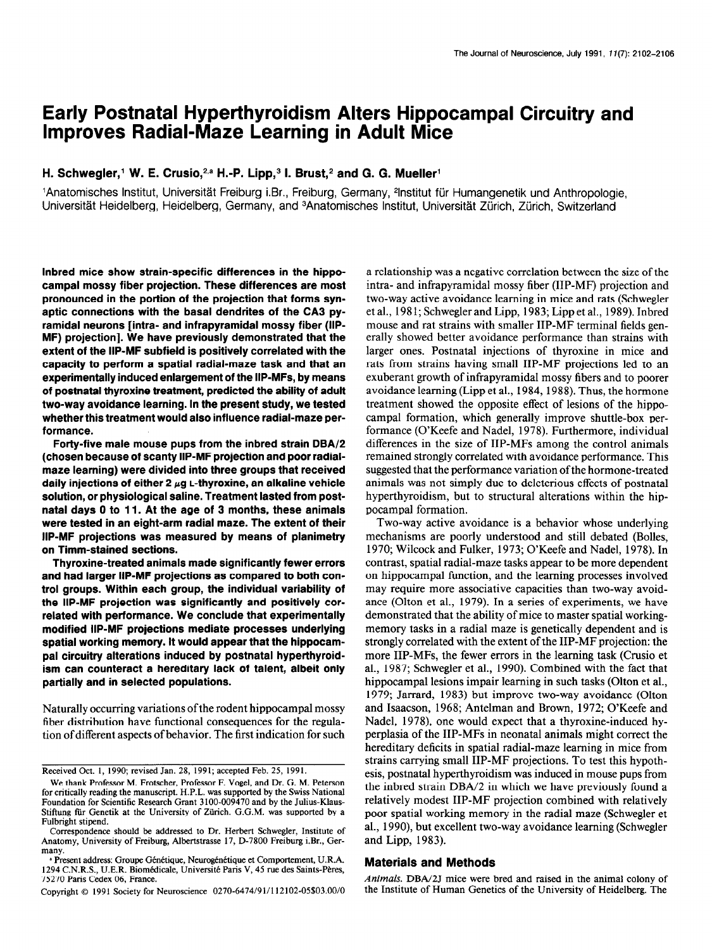# Early Postnatal Hyperthyroidism Alters Hippocampal Circuitry and Improves Radial-Maze Learning in Adult Mice

## H. Schwegler,<sup>1</sup> W. E. Crusio,<sup>2,a</sup> H.-P. Lipp,<sup>3</sup> I. Brust,<sup>2</sup> and G. G. Mueller<sup>1</sup>

'Anatomisches Institut, Universitat Freiburg i.Br., Freiburg, Germany, 21nstitut ftir Humangenetik und Anthropologie, Universität Heidelberg, Heidelberg, Germany, and <sup>3</sup>Anatomisches Institut, Universität Zürich, Zürich, Switzerland

Inbred mice show strain-specific differences in the hippocampal mossy fiber projection. These differences are most pronounced in the portion of the projection that forms synaptic connections with the basal dendrites of the CA3 pyramidal neurons [intra- and infrapyramidal mossy fiber (IIP-MF) projection]. We have previously demonstrated that the extent of the IIP-MF subfield is positively correlated with the capacity to perform a spatial radial-maze task and that an experimentally induced enlargement of the IIP-MFs, by means of postnatal thyroxine treatment, predicted the ability of adult two-way avoidance learning. In the present study, we tested whether this treatment would also influence radial-maze performance.

Forty-five male mouse pups from the inbred strain DBA/2 (chosen because of scanty IIP-MF projection and poor radialmaze learning) were divided into three groups that received daily injections of either 2  $\mu$ g L-thyroxine, an alkaline vehicle solution, or physiological saline. Treatment lasted from postnatal days 0 to 11. At the age of 3 months, these animals were tested in an eight-arm radial maze. The extent of their IIP-MF projections was measured by means of planimetry on Timm-stained sections.

Thyroxine-treated animals made significantly fewer errors and had larger IIP-MF projections as compared to both control groups. Within each group, the individual variability of the IIP-MF projection was significantly and positively correlated with performance. We conclude that experimentally modified IIP-MF projections mediate processes underlying spatial working memory. It would appear that the hippocampal circuitry alterations induced by postnatal hyperthyroidism can counteract a hereditary lack of talent, albeit only partially and in selected populations.

Naturally occurring variations of the rodent hippocampal mossy fiber distribution have functional consequences for the regulation of different aspects of behavior. The first indication for such

Copyright 0 1991 Society for Neuroscience 0270-6474/91/l 12102-05\$03.00/O

a relationship was a negative correlation between the size of the intra- and infrapyramidal mossy fiber (IIP-MF) projection and two-way active avoidance learning in mice and rats (Schwegler et al., 198 I; Schwegler and Lipp, 1983; Lipp et al., 1989). Inbred mouse and rat strains with smaller IIP-MF terminal fields generally showed better avoidance performance than strains with larger ones. Postnatal injections of thyroxine in mice and rats from strains having small IIP-MF projections led to an exuberant growth of infrapyramidal mossy fibers and to poorer avoidance learning (Lipp et al., 1984, 1988). Thus, the hormone treatment showed the opposite effect of lesions of the hippocampal formation, which generally improve shuttle-box performance (O'Keefe and Nadel, 1978). Furthermore, individual differences in the size of IIP-MFs among the control animals remained strongly correlated with avoidance performance. This suggested that the performance variation of the hormone-treated animals was not simply due to deleterious effects of postnatal hyperthyroidism, but to structural alterations within the hippocampal formation.

Two-way active avoidance is a behavior whose underlying mechanisms are poorly understood and still debated (Bolles, 1970; Wilcock and Fulker, 1973; O'Keefe and Nadel, 1978). In contrast, spatial radial-maze tasks appear to be more dependent on hippocampal function, and the learning processes involved may require more associative capacities than two-way avoidance (Olton et al., 1979). In a series of experiments, we have demonstrated that the ability of mice to master spatial workingmemory tasks in a radial maze is genetically dependent and is strongly correlated with the extent of the IIP-MF projection: the more IIP-MFs, the fewer errors in the learning task (Crusio et al., 1987; Schwegler et al., 1990). Combined with the fact that hippocampal lesions impair learning in such tasks (Olton et al., 1979; Jarrard, 1983) but improve two-way avoidance (Olton and Isaacson, 1968; Antelman and Brown, 1972; O'Keefe and Nadel, 1978), one would expect that a thyroxine-induced hyperplasia of the IIP-MFs in neonatal animals might correct the hereditary deficits in spatial radial-maze learning in mice from strains carrying small IIP-MF projections. To test this hypothesis, postnatal hyperthyroidism was induced in mouse pups from the inbred strain DBA/2 in which we have previously found a relatively modest IIP-MF projection combined with relatively poor spatial working memory in the radial maze (Schwegler et al., 1990), but excellent two-way avoidance learning (Schwegler and Lipp, 1983).

#### Materials and Methods

Animals. DBA/2J mice were bred and raised in the animal colony of the Institute of Human Genetics of the University of Heidelberg. The

Received Oct. 1, 1990, revised Jan. 28, 1991; accepted Feb. 25, 1991.

We thank Professor M. Frotscher, Professor F. Vogel, and Dr. G. M. Peterson for critically reading the manuscript. H.P.L. was supported by the Swiss National Foundation for Scientific Research Grant 3 100-009470 and by the Julius-Klaus-Stiftung für Genetik at the University of Zürich. G.G.M. was supported by a Fulbright stipend.

Correspondence should be addressed to Dr. Herbert Schwegler, Institute of Anatomy, University of Freiburg, Albertstrasse 17, D-7800 Freiburg i.Br., Germany.

<sup>&</sup>lt;sup>a</sup> Present address: Groupe Génétique, Neurogénétique et Comportement, U.R.A. 1294 C.N.R.S., U.E.R. Biomédicale, Université Paris V, 45 rue des Saints-Pères, 75270 Paris Cedex 06, France.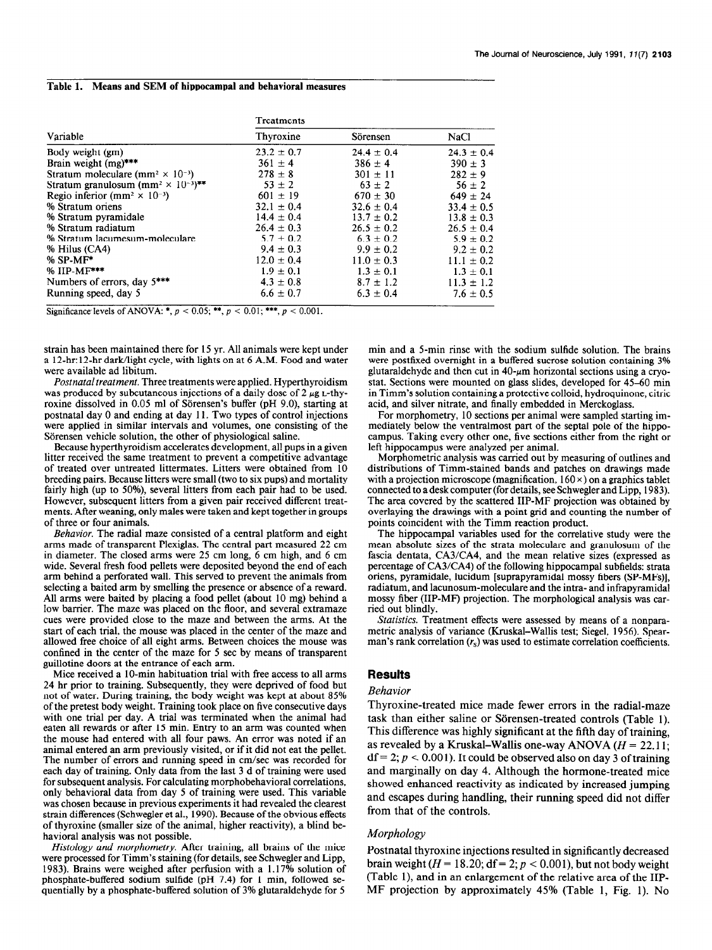#### Table 1. Means and SEM of hippocampal and behavioral measures

| Variable                                                                      | Treatments     |                |                |
|-------------------------------------------------------------------------------|----------------|----------------|----------------|
|                                                                               | Thyroxine      | Sörensen       | NaCl           |
| Body weight (gm)                                                              | $23.2 \pm 0.7$ | $24.4 \pm 0.4$ | $24.3 \pm 0.4$ |
| Brain weight $(mg)$ ***                                                       | $361 \pm 4$    | $386 \pm 4$    | $390 \pm 3$    |
| Stratum moleculare (mm <sup>2</sup> $\times$ 10 <sup>-3</sup> )               | $278 \pm 8$    | $301 \pm 11$   | $282 + 9$      |
| Stratum granulosum (mm <sup>2</sup> $\times$ 10 <sup>-3</sup> ) <sup>**</sup> | $53 \pm 2$     | $63 \pm 2$     | $56 \pm 2$     |
| Regio inferior (mm <sup>2</sup> $\times$ 10 <sup>-3</sup> )                   | $601 \pm 19$   | $670 \pm 30$   | $649 \pm 24$   |
| % Stratum oriens                                                              | $32.1 \pm 0.4$ | $32.6 \pm 0.4$ | $33.4 \pm 0.5$ |
| % Stratum pyramidale                                                          | $14.4 \pm 0.4$ | $13.7 \pm 0.2$ | $13.8 \pm 0.3$ |
| % Stratum radiatum                                                            | $26.4 \pm 0.3$ | $26.5 \pm 0.2$ | $26.5 \pm 0.4$ |
| % Stratum lacumesum-moleculare                                                | $5.7 \pm 0.2$  | $6.3 \pm 0.2$  | $5.9 + 0.2$    |
| % Hilus (CA4)                                                                 | $9.4 \pm 0.3$  | $9.9 \pm 0.2$  | $9.2 \pm 0.2$  |
| $%$ SP-MF*                                                                    | $12.0 \pm 0.4$ | $11.0 \pm 0.3$ | $11.1 \pm 0.2$ |
| % IIP-MF***                                                                   | $1.9 \pm 0.1$  | $1.3 \pm 0.1$  | $1.3 \pm 0.1$  |
| Numbers of errors, day 5***                                                   | $4.3 \pm 0.8$  | $8.7 \pm 1.2$  | $11.3 \pm 1.2$ |
| Running speed, day 5                                                          | $6.6 \pm 0.7$  | $6.3 \pm 0.4$  | $7.6 \pm 0.5$  |

Significance levels of ANOVA: \*,  $p < 0.05$ ; \*\*,  $p < 0.01$ ; \*\*\*,  $p < 0.001$ .

strain has been maintained there for 15 yr. All animals were kept under a 12-hr:12-hr dark/light cycle, with lights on at 6 A.M. Food and water were available ad libitum.

Postnatal treatment. Three treatments were applied. Hyperthyroidism was produced by subcutaneous injections of a daily dose of 2  $\mu$ g L-thyroxine dissolved in 0.05 ml of Sorensen's buffer (pH 9.0), starting at postnatal day 0 and ending at day 11. Two types of control injections were applied in similar intervals and volumes, one consisting of the Sörensen vehicle solution, the other of physiological saline.

Because hyperthyroidism accelerates development, all pups in a given litter received the same treatment to prevent a competitive advantage of treated over untreated littermates. Litters were obtained from 10 breeding pairs. Because litters were small (two to six pups) and mortality fairly high (up to SO%), several litters from each pair had to be used. However, subsequent litters from a given pair received different treatments. After weaning, only males were taken and kept together in groups of three or four animals.

Behavior. The radial maze consisted of a central platform and eight arms made of transparent Plexiglas. The central part measured 22 cm in diameter. The closed arms were 25 cm long, 6 cm high, and 6 cm wide. Several fresh food pellets were deposited beyond the end of each arm behind a perforated wall. This served to prevent the animals from selecting a baited arm by smelling the presence or absence of a reward. All arms were baited by placing a food pellet (about 10 mg) behind a low barrier. The maze was placed on the floor, and several extramaze cues were provided close to the maze and between the arms. At the start of each trial, the mouse was placed in the center of the maze and allowed free choice of all eight arms. Between choices the mouse was confined in the center of the maze for 5 set by means of transparent guillotine doors at the entrance of each arm.

Mice received a IO-min habituation trial with free access to all arms 24 hr prior to training. Subsequently, they were deprived of food but not of water. During training, the body weight was kept at about 85% of the pretest body weight. Training took place on five consecutive days with one trial per day. A trial was terminated when the animal had eaten all rewards or after 15 min. Entry to an arm was counted when the mouse had entered with all four paws. An error was noted if an animal entered an arm previously visited, or if it did not eat the pellet. The number of errors and running speed in cm/sec was recorded for each day of training. Only data from the last 3 d of training were used for subsequent analysis. For calculating morphobehavioral correlations, only behavioral data from day 5 of training were used. This variable was chosen because in previous experiments it had revealed the clearest strain differences (Schwegler et al., 1990). Because of the obvious effects of thyroxine (smaller size of the animal, higher reactivity), a blind behavioral analysis was not possible.

Histology and morphometry. After training, all brains of the mice were processed for Timm's staining (for details, see Schwegler and Lipp, 1983). Brains were weighed after perfusion with a 1.17% solution of phosphate-buffered sodium sulfide (pH 7.4) for 1 min, followed sequentially by a phosphate-buffered solution of 3% glutaraldehyde for 5

min and a 5-min rinse with the sodium sulfide solution. The brains were postfixed overnight in a buffered sucrose solution containing 3% glutaraldehyde and then cut in  $40$ - $\mu$ m horizontal sections using a cryostat. Sections were mounted on glass slides, developed for 45-60 min in Timm's solution containing a protective colloid, hydroquinone, citric acid, and silver nitrate, and finally embedded in Merckoglass.

For morphometry, 10 sections per animal were sampled starting immediately below the ventralmost part of the septal pole of the hippocampus. Taking every other one, five sections either from the right or left hippocampus were analyzed per animal.

Morphometric analysis was carried out by measuring of outlines and distributions of Timm-stained bands and patches on drawings made with a projection microscope (magnification,  $160 \times$ ) on a graphics tablet connected to a desk computer (for details, see Schwegler and Lipp, 1983). The area covered by the scattered IIP-MF projection was obtained by overlaying the drawings with a point grid and counting the number of points coincident with the Timm reaction product.

The hippocampal variables used for the correlative study were the mean absolute sizes of the strata moleculare and granulosum of the fascia dentata, CA3/CA4, and the mean relative sizes (expressed as percentage of CA3/CA4) of the following hippocampal subfields: strata oriens, pyramidale, lucidum [suprapyramidal mossy fibers (SP-MFs)], radiatum, and lacunosum-moleculare and the intra- and infrapyramidal mossy fiber (IIP-MF) projection. The morphological analysis was carried out blindly.

Statistics. Treatment effects were assessed by means of a nonparametric analysis of variance (Kruskal-Wallis test; Siegel, 1956). Spearman's rank correlation  $(r<sub>s</sub>)$  was used to estimate correlation coefficients.

#### Results

#### Behavior

Thyroxine-treated mice made fewer errors in the radial-maze task than either saline or Sörensen-treated controls (Table 1). This difference was highly significant at the fifth day of training, as revealed by a Kruskal-Wallis one-way ANOVA  $(H = 22.11)$ ;  $df = 2$ ;  $p < 0.001$ ). It could be observed also on day 3 of training and marginally on day 4. Although the hormone-treated mice showed enhanced reactivity as indicated by increased jumping and escapes during handling, their running speed did not differ from that of the controls.

#### Morphology

Postnatal thyroxine injections resulted in significantly decreased brain weight ( $H = 18.20$ ; df = 2;  $p < 0.001$ ), but not body weight (Table l), and in an enlargement of the relative area of the IIP-MF projection by approximately 45% (Table 1, Fig. 1). No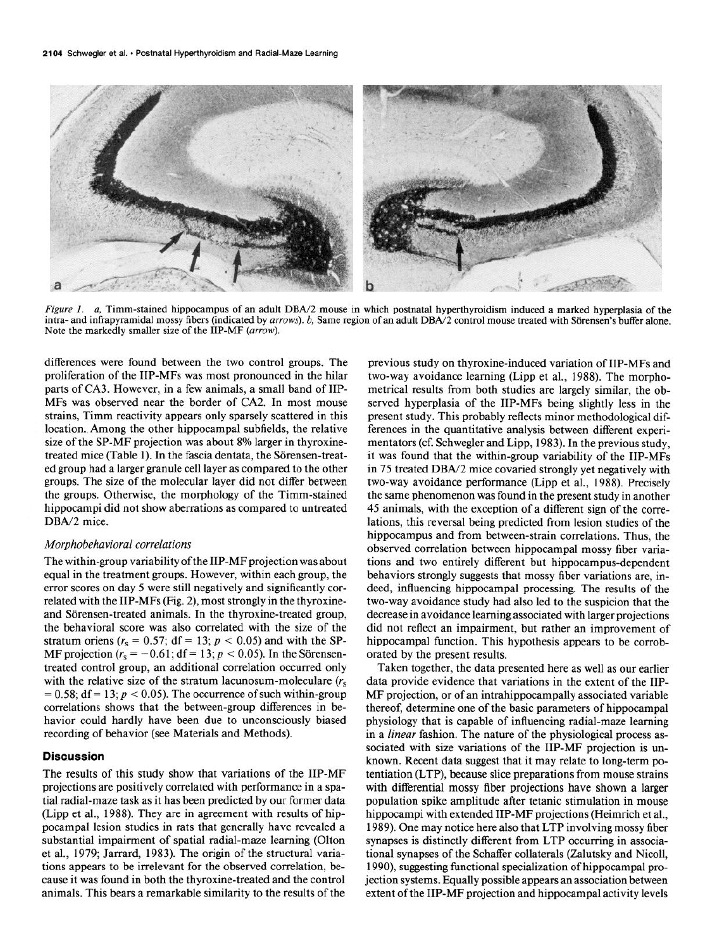

Figure 1. a, Timm-stained hippocampus of an adult DBA/2 mouse in which postnatal hyperthyroidism induced a marked hyperplasia of the intra- and infrapyramidal mossy fibers (indicated by arrows). b, Same region of an adult DBA/2 control mouse treated with Sörensen's buffer alone. Note the markedly smaller size of the IIP-MF (arrow).

differences were found between the two control groups. The proliferation of the IIP-MFs was most pronounced in the hilar parts of CA3. However, in a few animals, a small band of IIP-MFs was observed near the border of CA2. In most mouse strains, Timm reactivity appears only sparsely scattered in this location.. Among the other hippocampal subfields, the relative size of the SP-MF projection was about 8% larger in thyroxinetreated mice (Table 1). In the fascia dentata, the Sörensen-treated group had a larger granule cell layer as compared to the other groups. The size of the molecular layer did not differ between the groups. Otherwise, the morphology of the Timm-stained hippocampi did not show aberrations as compared to untreated DBA/2 mice.

#### Morphobehavioral correlations

The within-group variability of the IIP-MF projection was about equal in the treatment groups. However, within each group, the error scores on day 5 were still negatively and significantly correlated with the IIP-MFs (Fig. 2), most strongly in the thyroxineand Sörensen-treated animals. In the thyroxine-treated group, the behavioral score was also correlated with the size of the stratum oriens ( $r_s = 0.57$ ; df = 13;  $p < 0.05$ ) and with the SP-MF projection ( $r_s = -0.61$ ; df = 13;  $p < 0.05$ ). In the Sörensentreated control group, an additional correlation occurred only with the relative size of the stratum lacunosum-moleculare  $(r<sub>s</sub>$  $= 0.58$ ; df = 13;  $p < 0.05$ ). The occurrence of such within-group correlations shows that the between-group differences in behavior could hardly have been due to unconsciously biased recording of behavior (see Materials and Methods).

#### Discussion

The results of this study show that variations of the IIP-MF projections are positively correlated with performance in a spatial radial-maze task as it has been predicted by our former data (Lipp et al., 1988). They are in agreement with results of hippocampal lesion studies in rats that generally have revealed a substantial impairment of spatial radial-maze learning (Olton et al., 1979; Jarrard, 1983). The origin of the structural variations appears to be irrelevant for the observed correlation, because it was found in both the thyroxine-treated and the control animals. This bears a remarkable similarity to the results of the

previous study on thyroxine-induced variation of IIP-MFs and two-way avoidance learning (Lipp et al., 1988). The morphometrical results from both studies are largely similar, the observed hyperplasia of the IIP-MFs being slightly less in the present study. This probably reflects minor methodological differences in the quantitative analysis between different experimentators (cf. Schwegler and Lipp, 1983). In the previous study, it was found that the within-group variability of the IIP-MFs in 75 treated DBA/2 mice covaried strongly yet negatively with two-way avoidance performance (Lipp et al., 1988). Precisely the same phenomenon was found in the present study in another 45 animals, with the exception of a different sign of the correlations, this reversal being predicted from lesion studies of the hippocampus and from between-strain correlations. Thus, the observed correlation between hippocampal mossy fiber variations and two entirely different but hippocampus-dependent behaviors strongly suggests that mossy fiber variations are, indeed, influencing hippocampal processing. The results of the two-way avoidance study had also led to the suspicion that the decrease in avoidance learning associated with larger projections did not reflect an impairment, but rather an improvement of hippocampal function. This hypothesis appears to be corroborated by the present results.

Taken together, the data presented here as well as our earlier data provide evidence that variations in the extent of the IIP-MF projection, or of an intrahippocampally associated variable thereof, determine one of the basic parameters of hippocampal physiology that is capable of influencing radial-maze learning in a *linear* fashion. The nature of the physiological process associated with size variations of the IIP-MF projection is unknown. Recent data suggest that it may relate to long-term potentiation (LTP), because slice preparations from mouse strains with differential mossy fiber projections have shown a larger population spike amplitude after tetanic stimulation in mouse hippocampi with extended IIP-MF projections (Heimrich et al., 1989). One may notice here also that LTP involving mossy fiber synapses is distinctly different from LTP occurring in associational synapses of the Schaffer collaterals (Zalutsky and Nicoll, 1990), suggesting functional specialization of hippocampal projection systems. Equally possible appears an association between extent of the IIP-MF projection and hippocampal activity levels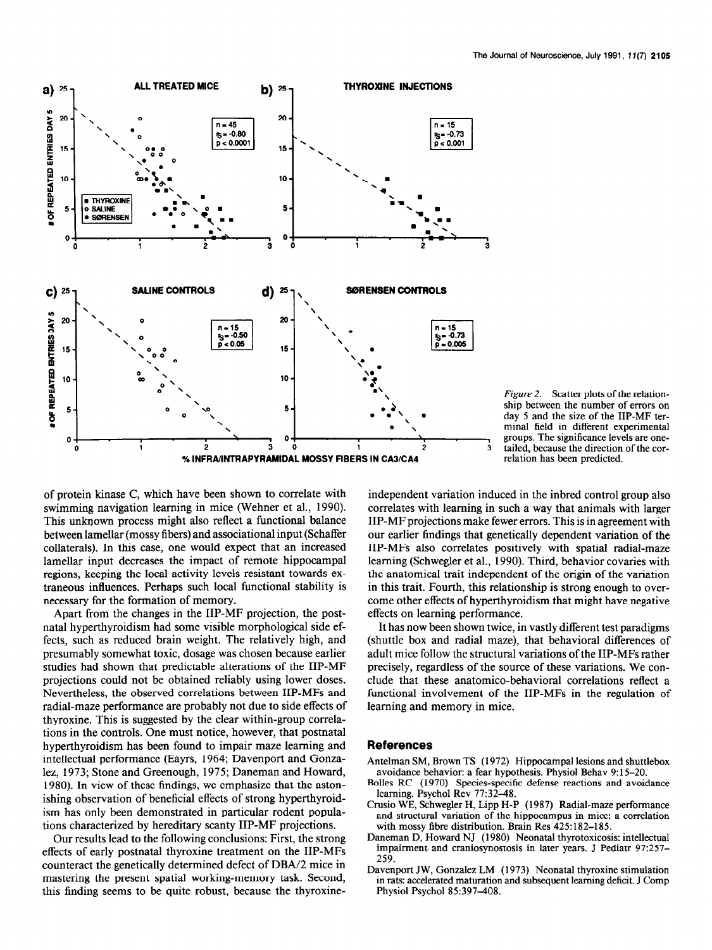



of protein kinase C, which have been shown to correlate with swimming navigation learning in mice (Wehner et al., 1990). This unknown process might also reflect a functional balance between lamellar (mossy fibers) and associational input (Schaffer collaterals). In this case, one would expect that an increased lamellar input decreases the impact of remote hippocampal regions, keeping the local activity levels resistant towards extraneous influences. Perhaps such local functional stability is necessary for the formation of memory.

Apart from the changes in the IIP-MF projection, the postnatal hyperthyroidism had some visible morphological side effects, such as reduced brain weight. The relatively high, and presumably somewhat toxic, dosage was chosen because earlier studies had shown that predictable alterations of the IIP-MF projections could not be obtained reliably using lower doses. Nevertheless, the observed correlations between IIP-MFs and radial-maze performance are probably not due to side effects of thyroxine. This is suggested by the clear within-group correlations in the controls. One must notice, however, that postnatal hyperthyroidism has been found to impair maze learning and intellectual performance (Eayrs, 1964; Davenport and Gonzalez, 1973; Stone and Greenough, 1975; Daneman and Howard, 1980). In view of these findings, we emphasize that the astonishing observation of beneficial effects of strong hyperthyroidism has only been demonstrated in particular rodent populations characterized by hereditary scanty IIP-MF projections.

Our results lead to the following conclusions: First, the strong effects of early postnatal thyroxine treatment on the IIP-MFs counteract the genetically determined defect of DBA/2 mice in mastering the present spatial working-memory task. Second, this finding seems to be quite robust, because the thyroxineindependent variation induced in the inbred control group also correlates with learning in such a way that animals with larger IIP-MF projections make fewer errors. This is in agreement with our earlier findings that genetically dependent variation of the IIP-MFs also correlates positively with spatial radial-maze learning (Schwegler et al., 1990). Third, behavior covaries with the anatomical trait independent of the origin of the variation in this trait. Fourth, this relationship is strong enough to overcome other effects of hyperthyroidism that might have negative effects on learning performance.

It has now been shown twice, in vastly different test paradigms (shuttle box and radial maze), that behavioral differences of adult mice follow the structural variations of the IIP-MFs rather precisely, regardless of the source of these variations. We conclude that these anatomico-behavioral correlations reflect a functional involvement of the IIP-MFs in the regulation of learning and memory in mice.

### References

- Antelman SM, Brown TS (1972) Hippocampal lesions and shuttlebox avoidance behavior: a fear hypothesis. Physiol Behav 9: 15-20.
- Bolles RC (1970) Species-specific defense reactions and avoidance learning. Psycho1 Rev 77:32-48.
- Crusio WE, Schwegler H, Lipp H-P (1987) Radial-maze performance and structural variation of the hippocampus in mice: a correlation with mossy fibre distribution. Brain Res 425:182-185.
- Daneman D, Howard NJ (1980) Neonatal thyrotoxicosis: intellectual impairment. and craniosynostosis in later years. J Pediatr 97:257- 259.
- Davenport JW, Gonzalez LM (1973) Neonatal thyroxine stimulation in rats: accelerated maturation and subsequent learning deficit. J Comp Physiol Psychol 85:397-408.